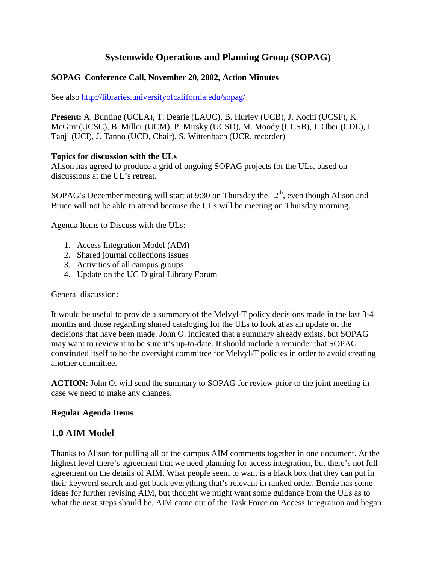# **Systemwide Operations and Planning Group (SOPAG)**

#### **SOPAG Conference Call, November 20, 2002, Action Minutes**

See also http://libraries.universityofcalifornia.edu/sopag/

**Present:** A. Bunting (UCLA), T. Dearie (LAUC), B. Hurley (UCB), J. Kochi (UCSF), K. McGirr (UCSC), B. Miller (UCM), P. Mirsky (UCSD), M. Moody (UCSB), J. Ober (CDL), L. Tanji (UCI), J. Tanno (UCD, Chair), S. Wittenbach (UCR, recorder)

#### **Topics for discussion with the ULs**

Alison has agreed to produce a grid of ongoing SOPAG projects for the ULs, based on discussions at the UL's retreat.

SOPAG's December meeting will start at 9:30 on Thursday the  $12<sup>th</sup>$ , even though Alison and Bruce will not be able to attend because the ULs will be meeting on Thursday morning.

Agenda Items to Discuss with the ULs:

- 1. Access Integration Model (AIM)
- 2. Shared journal collections issues
- 3. Activities of all campus groups
- 4. Update on the UC Digital Library Forum

General discussion:

It would be useful to provide a summary of the Melvyl-T policy decisions made in the last 3-4 months and those regarding shared cataloging for the ULs to look at as an update on the decisions that have been made. John O. indicated that a summary already exists, but SOPAG may want to review it to be sure it's up-to-date. It should include a reminder that SOPAG constituted itself to be the oversight committee for Melvyl-T policies in order to avoid creating another committee.

**ACTION:** John O. will send the summary to SOPAG for review prior to the joint meeting in case we need to make any changes.

#### **Regular Agenda Items**

#### **1.0 AIM Model**

Thanks to Alison for pulling all of the campus AIM comments together in one document. At the highest level there's agreement that we need planning for access integration, but there's not full agreement on the details of AIM. What people seem to want is a black box that they can put in their keyword search and get back everything that's relevant in ranked order. Bernie has some ideas for further revising AIM, but thought we might want some guidance from the ULs as to what the next steps should be. AIM came out of the Task Force on Access Integration and began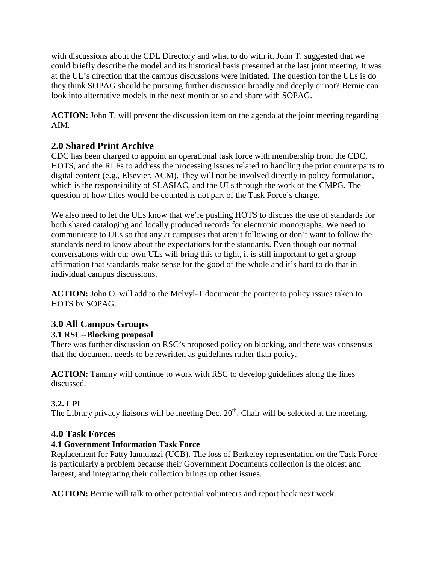with discussions about the CDL Directory and what to do with it. John T. suggested that we could briefly describe the model and its historical basis presented at the last joint meeting. It was at the UL's direction that the campus discussions were initiated. The question for the ULs is do they think SOPAG should be pursuing further discussion broadly and deeply or not? Bernie can look into alternative models in the next month or so and share with SOPAG.

**ACTION:** John T. will present the discussion item on the agenda at the joint meeting regarding AIM.

# **2.0 Shared Print Archive**

CDC has been charged to appoint an operational task force with membership from the CDC, HOTS, and the RLFs to address the processing issues related to handling the print counterparts to digital content (e.g., Elsevier, ACM). They will not be involved directly in policy formulation, which is the responsibility of SLASIAC, and the ULs through the work of the CMPG. The question of how titles would be counted is not part of the Task Force's charge.

We also need to let the ULs know that we're pushing HOTS to discuss the use of standards for both shared cataloging and locally produced records for electronic monographs. We need to communicate to ULs so that any at campuses that aren't following or don't want to follow the standards need to know about the expectations for the standards. Even though our normal conversations with our own ULs will bring this to light, it is still important to get a group affirmation that standards make sense for the good of the whole and it's hard to do that in individual campus discussions.

**ACTION:** John O. will add to the Melvyl-T document the pointer to policy issues taken to HOTS by SOPAG.

# **3.0 All Campus Groups**

## **3.1 RSC--Blocking proposal**

There was further discussion on RSC's proposed policy on blocking, and there was consensus that the document needs to be rewritten as guidelines rather than policy.

**ACTION:** Tammy will continue to work with RSC to develop guidelines along the lines discussed.

## **3.2. LPL**

The Library privacy liaisons will be meeting Dec.  $20<sup>th</sup>$ . Chair will be selected at the meeting.

## **4.0 Task Forces**

## **4.1 Government Information Task Force**

Replacement for Patty Iannuazzi (UCB). The loss of Berkeley representation on the Task Force is particularly a problem because their Government Documents collection is the oldest and largest, and integrating their collection brings up other issues.

**ACTION:** Bernie will talk to other potential volunteers and report back next week.